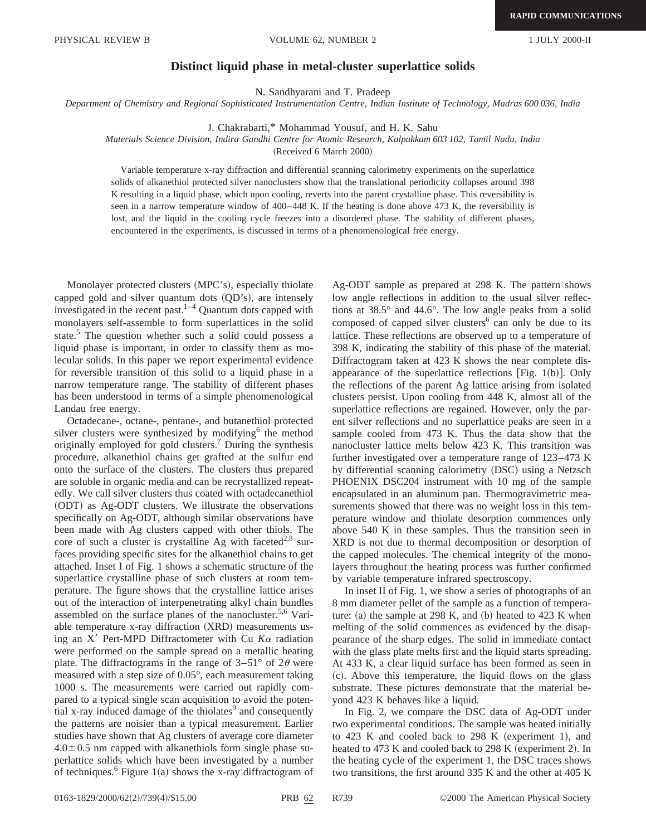## **Distinct liquid phase in metal-cluster superlattice solids**

N. Sandhyarani and T. Pradeep

*Department of Chemistry and Regional Sophisticated Instrumentation Centre, Indian Institute of Technology, Madras 600 036, India*

J. Chakrabarti,\* Mohammad Yousuf, and H. K. Sahu

## *Materials Science Division, Indira Gandhi Centre for Atomic Research, Kalpakkam 603 102, Tamil Nadu, India*

(Received 6 March 2000)

Variable temperature x-ray diffraction and differential scanning calorimetry experiments on the superlattice solids of alkanethiol protected silver nanoclusters show that the translational periodicity collapses around 398 K resulting in a liquid phase, which upon cooling, reverts into the parent crystalline phase. This reversibility is seen in a narrow temperature window of 400–448 K. If the heating is done above 473 K, the reversibility is lost, and the liquid in the cooling cycle freezes into a disordered phase. The stability of different phases, encountered in the experiments, is discussed in terms of a phenomenological free energy.

Monolayer protected clusters (MPC's), especially thiolate capped gold and silver quantum dots  $(OD's)$ , are intensely investigated in the recent past. $1-4$  Quantum dots capped with monolayers self-assemble to form superlattices in the solid state.<sup>5</sup> The question whether such a solid could possess a liquid phase is important, in order to classify them as molecular solids. In this paper we report experimental evidence for reversible transition of this solid to a liquid phase in a narrow temperature range. The stability of different phases has been understood in terms of a simple phenomenological Landau free energy.

Octadecane-, octane-, pentane-, and butanethiol protected silver clusters were synthesized by modifying $6$  the method originally employed for gold clusters.<sup>7</sup> During the synthesis procedure, alkanethiol chains get grafted at the sulfur end onto the surface of the clusters. The clusters thus prepared are soluble in organic media and can be recrystallized repeatedly. We call silver clusters thus coated with octadecanethiol (ODT) as Ag-ODT clusters. We illustrate the observations specifically on Ag-ODT, although similar observations have been made with Ag clusters capped with other thiols. The core of such a cluster is crystalline Ag with faceted<sup>2,8</sup> surfaces providing specific sites for the alkanethiol chains to get attached. Inset I of Fig. 1 shows a schematic structure of the superlattice crystalline phase of such clusters at room temperature. The figure shows that the crystalline lattice arises out of the interaction of interpenetrating alkyl chain bundles assembled on the surface planes of the nanocluster.<sup>5,6</sup> Variable temperature x-ray diffraction (XRD) measurements using an  $X'$  Pert-MPD Diffractometer with Cu  $K\alpha$  radiation were performed on the sample spread on a metallic heating plate. The diffractograms in the range of  $3-51^{\circ}$  of  $2\theta$  were measured with a step size of 0.05°, each measurement taking 1000 s. The measurements were carried out rapidly compared to a typical single scan acquisition to avoid the potential x-ray induced damage of the thiolates $9$  and consequently the patterns are noisier than a typical measurement. Earlier studies have shown that Ag clusters of average core diameter  $4.0\pm0.5$  nm capped with alkanethiols form single phase superlattice solids which have been investigated by a number of techniques.<sup>6</sup> Figure 1(a) shows the x-ray diffractogram of Ag-ODT sample as prepared at 298 K. The pattern shows low angle reflections in addition to the usual silver reflections at 38.5° and 44.6°. The low angle peaks from a solid composed of capped silver clusters $6$  can only be due to its lattice. These reflections are observed up to a temperature of 398 K, indicating the stability of this phase of the material. Diffractogram taken at 423 K shows the near complete disappearance of the superlattice reflections [Fig. 1(b)]. Only the reflections of the parent Ag lattice arising from isolated clusters persist. Upon cooling from 448 K, almost all of the superlattice reflections are regained. However, only the parent silver reflections and no superlattice peaks are seen in a sample cooled from 473 K. Thus the data show that the nanocluster lattice melts below 423 K. This transition was further investigated over a temperature range of 123–473 K by differential scanning calorimetry (DSC) using a Netzsch PHOENIX DSC204 instrument with 10 mg of the sample encapsulated in an aluminum pan. Thermogravimetric measurements showed that there was no weight loss in this temperature window and thiolate desorption commences only above 540 K in these samples. Thus the transition seen in XRD is not due to thermal decomposition or desorption of the capped molecules. The chemical integrity of the monolayers throughout the heating process was further confirmed by variable temperature infrared spectroscopy.

In inset II of Fig. 1, we show a series of photographs of an 8 mm diameter pellet of the sample as a function of temperature: (a) the sample at  $298$  K, and (b) heated to  $423$  K when melting of the solid commences as evidenced by the disappearance of the sharp edges. The solid in immediate contact with the glass plate melts first and the liquid starts spreading. At 433 K, a clear liquid surface has been formed as seen in ~c!. Above this temperature, the liquid flows on the glass substrate. These pictures demonstrate that the material beyond 423 K behaves like a liquid.

In Fig. 2, we compare the DSC data of Ag-ODT under two experimental conditions. The sample was heated initially to 423 K and cooled back to 298 K (experiment 1), and heated to 473 K and cooled back to 298 K (experiment 2). In the heating cycle of the experiment 1, the DSC traces shows two transitions, the first around 335 K and the other at 405 K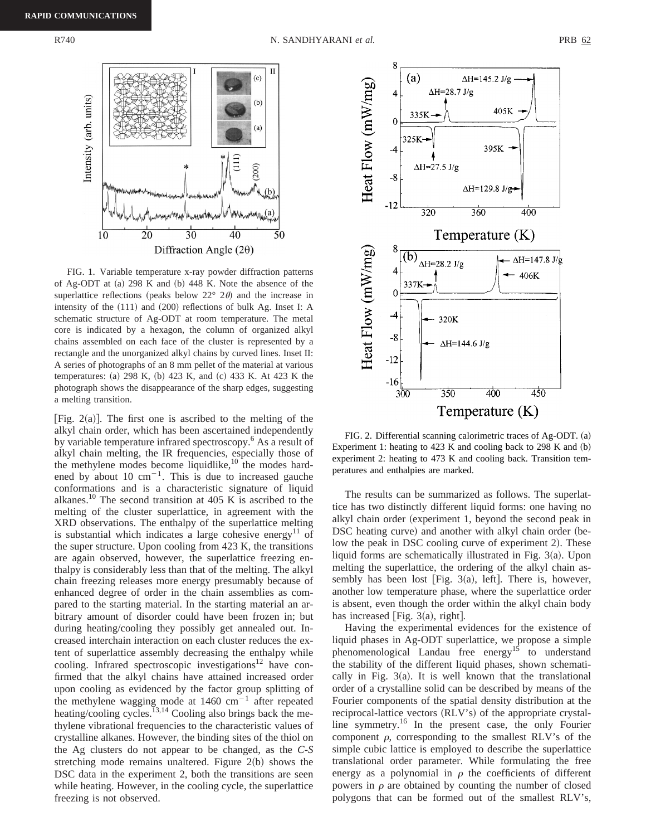

FIG. 1. Variable temperature x-ray powder diffraction patterns of Ag-ODT at  $(a)$  298 K and  $(b)$  448 K. Note the absence of the superlattice reflections (peaks below  $22^{\circ}$   $2\theta$ ) and the increase in intensity of the  $(111)$  and  $(200)$  reflections of bulk Ag. Inset I: A schematic structure of Ag-ODT at room temperature. The metal core is indicated by a hexagon, the column of organized alkyl chains assembled on each face of the cluster is represented by a rectangle and the unorganized alkyl chains by curved lines. Inset II: A series of photographs of an 8 mm pellet of the material at various temperatures: (a) 298 K, (b) 423 K, and (c) 433 K. At 423 K the photograph shows the disappearance of the sharp edges, suggesting a melting transition.

[Fig.  $2(a)$ ]. The first one is ascribed to the melting of the alkyl chain order, which has been ascertained independently by variable temperature infrared spectroscopy.<sup>6</sup> As a result of alkyl chain melting, the IR frequencies, especially those of the methylene modes become liquidlike,<sup>10</sup> the modes hardened by about 10  $cm^{-1}$ . This is due to increased gauche conformations and is a characteristic signature of liquid alkanes.<sup>10</sup> The second transition at 405 K is ascribed to the melting of the cluster superlattice, in agreement with the XRD observations. The enthalpy of the superlattice melting is substantial which indicates a large cohesive energy<sup>11</sup> of the super structure. Upon cooling from 423 K, the transitions are again observed, however, the superlattice freezing enthalpy is considerably less than that of the melting. The alkyl chain freezing releases more energy presumably because of enhanced degree of order in the chain assemblies as compared to the starting material. In the starting material an arbitrary amount of disorder could have been frozen in; but during heating/cooling they possibly get annealed out. Increased interchain interaction on each cluster reduces the extent of superlattice assembly decreasing the enthalpy while cooling. Infrared spectroscopic investigations $12$  have confirmed that the alkyl chains have attained increased order upon cooling as evidenced by the factor group splitting of the methylene wagging mode at  $1460 \text{ cm}^{-1}$  after repeated heating/cooling cycles.<sup>13,14</sup> Cooling also brings back the methylene vibrational frequencies to the characteristic values of crystalline alkanes. However, the binding sites of the thiol on the Ag clusters do not appear to be changed, as the *C-S* stretching mode remains unaltered. Figure  $2(b)$  shows the DSC data in the experiment 2, both the transitions are seen while heating. However, in the cooling cycle, the superlattice freezing is not observed.



FIG. 2. Differential scanning calorimetric traces of Ag-ODT. (a) Experiment 1: heating to 423 K and cooling back to 298 K and  $(b)$ experiment 2: heating to 473 K and cooling back. Transition temperatures and enthalpies are marked.

The results can be summarized as follows. The superlattice has two distinctly different liquid forms: one having no alkyl chain order (experiment 1, beyond the second peak in DSC heating curve) and another with alkyl chain order (below the peak in DSC cooling curve of experiment 2). These liquid forms are schematically illustrated in Fig.  $3(a)$ . Upon melting the superlattice, the ordering of the alkyl chain assembly has been lost [Fig. 3(a), left]. There is, however, another low temperature phase, where the superlattice order is absent, even though the order within the alkyl chain body has increased [Fig.  $3(a)$ , right].

Having the experimental evidences for the existence of liquid phases in Ag-ODT superlattice, we propose a simple phenomenological Landau free energy<sup>15</sup> to understand the stability of the different liquid phases, shown schematically in Fig.  $3(a)$ . It is well known that the translational order of a crystalline solid can be described by means of the Fourier components of the spatial density distribution at the reciprocal-lattice vectors (RLV's) of the appropriate crystalline symmetry.16 In the present case, the only Fourier component  $\rho$ , corresponding to the smallest RLV's of the simple cubic lattice is employed to describe the superlattice translational order parameter. While formulating the free energy as a polynomial in  $\rho$  the coefficients of different powers in  $\rho$  are obtained by counting the number of closed polygons that can be formed out of the smallest RLV's,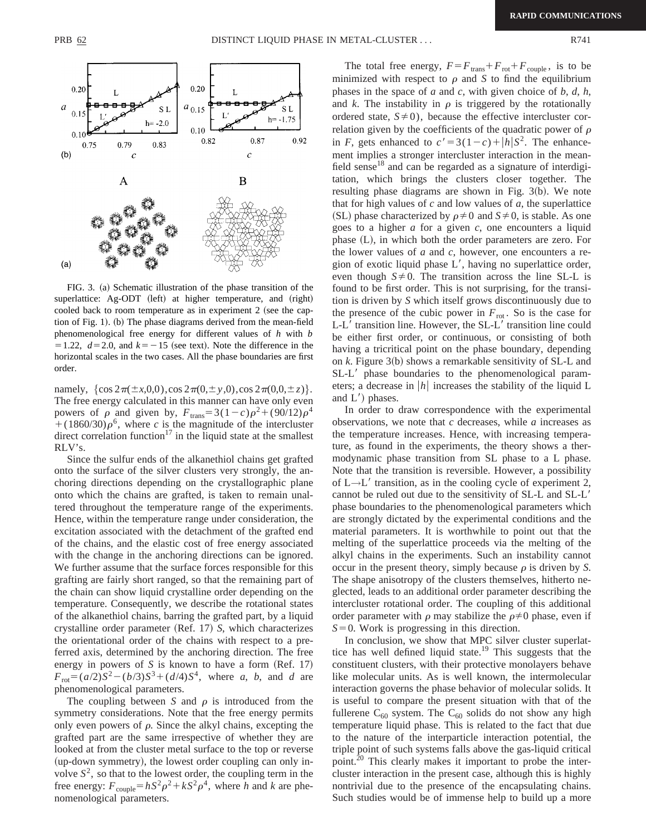

FIG. 3. (a) Schematic illustration of the phase transition of the superlattice: Ag-ODT (left) at higher temperature, and (right) cooled back to room temperature as in experiment  $2$  (see the caption of Fig. 1). (b) The phase diagrams derived from the mean-field phenomenological free energy for different values of *h* with *b*  $=1.22, d=2.0,$  and  $k=-15$  (see text). Note the difference in the horizontal scales in the two cases. All the phase boundaries are first order.

namely,  $\{\cos 2\pi(\pm x,0,0),\cos 2\pi(0,\pm y,0),\cos 2\pi(0,0,\pm z)\}.$ The free energy calculated in this manner can have only even powers of  $\rho$  and given by,  $F_{trans}=3(1-c)\rho^2+(90/12)\rho^4$  $+(1860/30)\rho^6$ , where *c* is the magnitude of the intercluster direct correlation function<sup>17</sup> in the liquid state at the smallest RLV's.

Since the sulfur ends of the alkanethiol chains get grafted onto the surface of the silver clusters very strongly, the anchoring directions depending on the crystallographic plane onto which the chains are grafted, is taken to remain unaltered throughout the temperature range of the experiments. Hence, within the temperature range under consideration, the excitation associated with the detachment of the grafted end of the chains, and the elastic cost of free energy associated with the change in the anchoring directions can be ignored. We further assume that the surface forces responsible for this grafting are fairly short ranged, so that the remaining part of the chain can show liquid crystalline order depending on the temperature. Consequently, we describe the rotational states of the alkanethiol chains, barring the grafted part, by a liquid crystalline order parameter (Ref. 17) *S*, which characterizes the orientational order of the chains with respect to a preferred axis, determined by the anchoring direction. The free energy in powers of  $S$  is known to have a form  $(Ref. 17)$  $F_{\text{rot}} = (a/2)S^2 - (b/3)S^3 + (d/4)S^4$ , where *a*, *b*, and *d* are phenomenological parameters.

The coupling between *S* and  $\rho$  is introduced from the symmetry considerations. Note that the free energy permits only even powers of  $\rho$ . Since the alkyl chains, excepting the grafted part are the same irrespective of whether they are looked at from the cluster metal surface to the top or reverse (up-down symmetry), the lowest order coupling can only involve  $S^2$ , so that to the lowest order, the coupling term in the free energy:  $F_{\text{couple}} = hS^2\rho^2 + kS^2\rho^4$ , where *h* and *k* are phenomenological parameters.

The total free energy,  $F = F_{trans} + F_{rot} + F_{couple}$ , is to be minimized with respect to  $\rho$  and *S* to find the equilibrium phases in the space of *a* and *c*, with given choice of *b*, *d*, *h*, and *k*. The instability in  $\rho$  is triggered by the rotationally ordered state,  $S \neq 0$ ), because the effective intercluster correlation given by the coefficients of the quadratic power of  $\rho$ in *F*, gets enhanced to  $c' = 3(1-c) + |h|S^2$ . The enhancement implies a stronger intercluster interaction in the meanfield sense $18$  and can be regarded as a signature of interdigitation, which brings the clusters closer together. The resulting phase diagrams are shown in Fig.  $3(b)$ . We note that for high values of *c* and low values of *a*, the superlattice (SL) phase characterized by  $\rho \neq 0$  and  $S \neq 0$ , is stable. As one goes to a higher *a* for a given *c*, one encounters a liquid phase  $(L)$ , in which both the order parameters are zero. For the lower values of *a* and *c*, however, one encounters a region of exotic liquid phase  $L'$ , having no superlattice order, even though  $S \neq 0$ . The transition across the line SL-L is found to be first order. This is not surprising, for the transition is driven by *S* which itself grows discontinuously due to the presence of the cubic power in  $F_{\text{rot}}$ . So is the case for  $L-L'$  transition line. However, the  $SL-L'$  transition line could be either first order, or continuous, or consisting of both having a tricritical point on the phase boundary, depending on  $k$ . Figure  $3(b)$  shows a remarkable sensitivity of SL-L and  $SL-L'$  phase boundaries to the phenomenological parameters; a decrease in  $|h|$  increases the stability of the liquid L and  $L'$ ) phases.

In order to draw correspondence with the experimental observations, we note that *c* decreases, while *a* increases as the temperature increases. Hence, with increasing temperature, as found in the experiments, the theory shows a thermodynamic phase transition from SL phase to a L phase. Note that the transition is reversible. However, a possibility of  $L \rightarrow L'$  transition, as in the cooling cycle of experiment 2, cannot be ruled out due to the sensitivity of SL-L and SL-L' phase boundaries to the phenomenological parameters which are strongly dictated by the experimental conditions and the material parameters. It is worthwhile to point out that the melting of the superlattice proceeds via the melting of the alkyl chains in the experiments. Such an instability cannot occur in the present theory, simply because  $\rho$  is driven by *S*. The shape anisotropy of the clusters themselves, hitherto neglected, leads to an additional order parameter describing the intercluster rotational order. The coupling of this additional order parameter with  $\rho$  may stabilize the  $\rho \neq 0$  phase, even if  $S=0$ . Work is progressing in this direction.

In conclusion, we show that MPC silver cluster superlattice has well defined liquid state.<sup>19</sup> This suggests that the constituent clusters, with their protective monolayers behave like molecular units. As is well known, the intermolecular interaction governs the phase behavior of molecular solids. It is useful to compare the present situation with that of the fullerene  $C_{60}$  system. The  $C_{60}$  solids do not show any high temperature liquid phase. This is related to the fact that due to the nature of the interparticle interaction potential, the triple point of such systems falls above the gas-liquid critical point.<sup>20</sup> This clearly makes it important to probe the intercluster interaction in the present case, although this is highly nontrivial due to the presence of the encapsulating chains. Such studies would be of immense help to build up a more